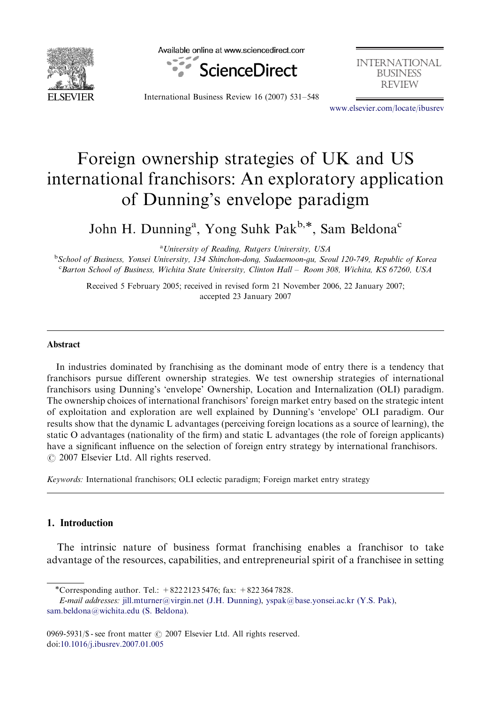

Available online at www.sciencedirect.com



international **BUSINESS REVIEW** 

International Business Review 16 (2007) 531–548

<www.elsevier.com/locate/ibusrev>

# Foreign ownership strategies of UK and US international franchisors: An exploratory application of Dunning's envelope paradigm

John H. Dunning<sup>a</sup>, Yong Suhk Pak<sup>b,\*</sup>, Sam Beldona<sup>c</sup>

<sup>a</sup> University of Reading, Rutgers University, USA b School of Business, Yonsei University, 134 Shinchon-dong, Sudaemoon-gu, Seoul 120-749, Republic of Korea <sup>c</sup>Barton School of Business, Wichita State University, Clinton Hall - Room 308, Wichita, KS 67260, USA

Received 5 February 2005; received in revised form 21 November 2006, 22 January 2007; accepted 23 January 2007

#### Abstract

In industries dominated by franchising as the dominant mode of entry there is a tendency that franchisors pursue different ownership strategies. We test ownership strategies of international franchisors using Dunning's 'envelope' Ownership, Location and Internalization (OLI) paradigm. The ownership choices of international franchisors' foreign market entry based on the strategic intent of exploitation and exploration are well explained by Dunning's 'envelope' OLI paradigm. Our results show that the dynamic L advantages (perceiving foreign locations as a source of learning), the static O advantages (nationality of the firm) and static L advantages (the role of foreign applicants) have a significant influence on the selection of foreign entry strategy by international franchisors.  $O$  2007 Elsevier Ltd. All rights reserved.

Keywords: International franchisors; OLI eclectic paradigm; Foreign market entry strategy

#### 1. Introduction

The intrinsic nature of business format franchising enables a franchisor to take advantage of the resources, capabilities, and entrepreneurial spirit of a franchisee in setting

<sup>-</sup>Corresponding author. Tel.: +822 2123 5476; fax: +822 364 7828.

E-mail addresses: [jill.mturner@virgin.net \(J.H. Dunning\),](mailto:jill.mturner@virgin.net) [yspak@base.yonsei.ac.kr \(Y.S. Pak\)](mailto:yspak@base.yonsei.ac.kr), [sam.beldona@wichita.edu \(S. Beldona\)](mailto:sam.beldona@wichita.edu).

<sup>0969-5931/\$ -</sup> see front matter  $\odot$  2007 Elsevier Ltd. All rights reserved. doi[:10.1016/j.ibusrev.2007.01.005](dx.doi.org/10.1016/j.ibusrev.2007.01.005)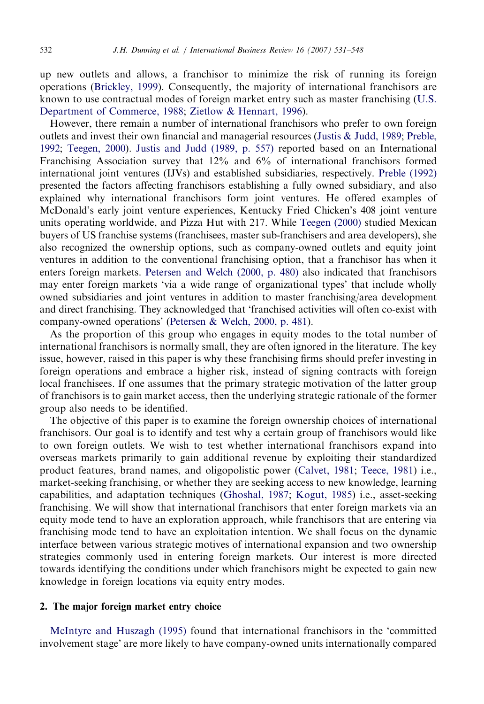up new outlets and allows, a franchisor to minimize the risk of running its foreign operations ([Brickley, 1999\)](#page--1-0). Consequently, the majority of international franchisors are known to use contractual modes of foreign market entry such as master franchising [\(U.S.](#page--1-0) [Department of Commerce, 1988;](#page--1-0) [Zietlow](#page--1-0) [& Hennart, 1996](#page--1-0)).

However, there remain a number of international franchisors who prefer to own foreign outlets and invest their own financial and managerial resources ([Justis](#page--1-0) [& Judd, 1989](#page--1-0); [Preble,](#page--1-0) [1992;](#page--1-0) [Teegen, 2000](#page--1-0)). [Justis and Judd \(1989, p. 557\)](#page--1-0) reported based on an International Franchising Association survey that 12% and 6% of international franchisors formed international joint ventures (IJVs) and established subsidiaries, respectively. [Preble \(1992\)](#page--1-0) presented the factors affecting franchisors establishing a fully owned subsidiary, and also explained why international franchisors form joint ventures. He offered examples of McDonald's early joint venture experiences, Kentucky Fried Chicken's 408 joint venture units operating worldwide, and Pizza Hut with 217. While [Teegen \(2000\)](#page--1-0) studied Mexican buyers of US franchise systems (franchisees, master sub-franchisers and area developers), she also recognized the ownership options, such as company-owned outlets and equity joint ventures in addition to the conventional franchising option, that a franchisor has when it enters foreign markets. [Petersen and Welch \(2000, p. 480\)](#page--1-0) also indicated that franchisors may enter foreign markets 'via a wide range of organizational types' that include wholly owned subsidiaries and joint ventures in addition to master franchising/area development and direct franchising. They acknowledged that 'franchised activities will often co-exist with company-owned operations' [\(Petersen](#page--1-0) [& Welch, 2000, p. 481](#page--1-0)).

As the proportion of this group who engages in equity modes to the total number of international franchisors is normally small, they are often ignored in the literature. The key issue, however, raised in this paper is why these franchising firms should prefer investing in foreign operations and embrace a higher risk, instead of signing contracts with foreign local franchisees. If one assumes that the primary strategic motivation of the latter group of franchisors is to gain market access, then the underlying strategic rationale of the former group also needs to be identified.

The objective of this paper is to examine the foreign ownership choices of international franchisors. Our goal is to identify and test why a certain group of franchisors would like to own foreign outlets. We wish to test whether international franchisors expand into overseas markets primarily to gain additional revenue by exploiting their standardized product features, brand names, and oligopolistic power [\(Calvet, 1981;](#page--1-0) [Teece, 1981\)](#page--1-0) i.e., market-seeking franchising, or whether they are seeking access to new knowledge, learning capabilities, and adaptation techniques [\(Ghoshal, 1987](#page--1-0); [Kogut, 1985\)](#page--1-0) i.e., asset-seeking franchising. We will show that international franchisors that enter foreign markets via an equity mode tend to have an exploration approach, while franchisors that are entering via franchising mode tend to have an exploitation intention. We shall focus on the dynamic interface between various strategic motives of international expansion and two ownership strategies commonly used in entering foreign markets. Our interest is more directed towards identifying the conditions under which franchisors might be expected to gain new knowledge in foreign locations via equity entry modes.

### 2. The major foreign market entry choice

[McIntyre and Huszagh \(1995\)](#page--1-0) found that international franchisors in the 'committed involvement stage' are more likely to have company-owned units internationally compared